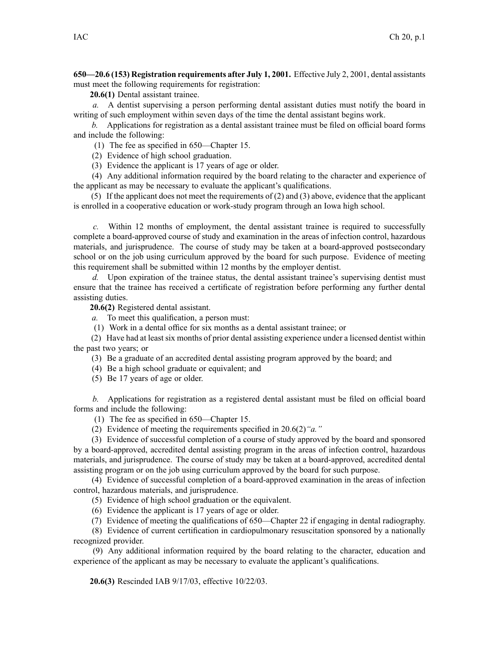**650—20.6 (153) Registration requirements after July 1, 2001.** Effective July 2, 2001, dental assistants must meet the following requirements for registration:

**20.6(1)** Dental assistant trainee.

*a.* A dentist supervising <sup>a</sup> person performing dental assistant duties must notify the board in writing of such employment within seven days of the time the dental assistant begins work.

*b.* Applications for registration as <sup>a</sup> dental assistant trainee must be filed on official board forms and include the following:

(1) The fee as specified in 650—Chapter 15.

(2) Evidence of high school graduation.

(3) Evidence the applicant is 17 years of age or older.

(4) Any additional information required by the board relating to the character and experience of the applicant as may be necessary to evaluate the applicant's qualifications.

(5) If the applicant does not meet the requirements of (2) and (3) above, evidence that the applicant is enrolled in <sup>a</sup> cooperative education or work-study program through an Iowa high school.

*c.* Within 12 months of employment, the dental assistant trainee is required to successfully complete <sup>a</sup> board-approved course of study and examination in the areas of infection control, hazardous materials, and jurisprudence. The course of study may be taken at <sup>a</sup> board-approved postsecondary school or on the job using curriculum approved by the board for such purpose. Evidence of meeting this requirement shall be submitted within 12 months by the employer dentist.

*d.* Upon expiration of the trainee status, the dental assistant trainee's supervising dentist must ensure that the trainee has received <sup>a</sup> certificate of registration before performing any further dental assisting duties.

**20.6(2)** Registered dental assistant.

*a.* To meet this qualification, <sup>a</sup> person must:

(1) Work in <sup>a</sup> dental office for six months as <sup>a</sup> dental assistant trainee; or

(2) Have had at least six months of prior dental assisting experience under <sup>a</sup> licensed dentist within the pas<sup>t</sup> two years; or

(3) Be <sup>a</sup> graduate of an accredited dental assisting program approved by the board; and

(4) Be <sup>a</sup> high school graduate or equivalent; and

(5) Be 17 years of age or older.

*b.* Applications for registration as <sup>a</sup> registered dental assistant must be filed on official board forms and include the following:

(1) The fee as specified in 650—Chapter 15.

(2) Evidence of meeting the requirements specified in 20.6(2)*"a."*

(3) Evidence of successful completion of <sup>a</sup> course of study approved by the board and sponsored by <sup>a</sup> board-approved, accredited dental assisting program in the areas of infection control, hazardous materials, and jurisprudence. The course of study may be taken at <sup>a</sup> board-approved, accredited dental assisting program or on the job using curriculum approved by the board for such purpose.

(4) Evidence of successful completion of <sup>a</sup> board-approved examination in the areas of infection control, hazardous materials, and jurisprudence.

(5) Evidence of high school graduation or the equivalent.

(6) Evidence the applicant is 17 years of age or older.

(7) Evidence of meeting the qualifications of 650—Chapter 22 if engaging in dental radiography.

(8) Evidence of current certification in cardiopulmonary resuscitation sponsored by <sup>a</sup> nationally recognized provider.

(9) Any additional information required by the board relating to the character, education and experience of the applicant as may be necessary to evaluate the applicant's qualifications.

**20.6(3)** Rescinded IAB 9/17/03, effective 10/22/03.